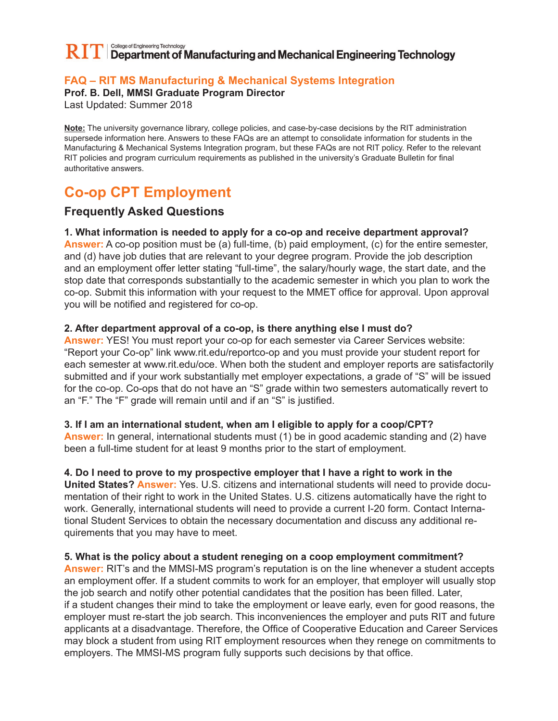#### College of Engineering Technology  $\bf R\Gamma\Gamma$  Department of Manufacturing and Mechanical Engineering Technology

### **FAQ – RIT MS Manufacturing & Mechanical Systems Integration**

**Prof. B. Dell, MMSI Graduate Program Director**

Last Updated: Summer 2018

**Note:** The university governance library, college policies, and case-by-case decisions by the RIT administration supersede information here. Answers to these FAQs are an attempt to consolidate information for students in the Manufacturing & Mechanical Systems Integration program, but these FAQs are not RIT policy. Refer to the relevant RIT policies and program curriculum requirements as published in the university's Graduate Bulletin for final authoritative answers.

# **Co-op CPT Employment**

## **Frequently Asked Questions**

#### **1. What information is needed to apply for a co-op and receive department approval?**

**Answer:** A co-op position must be (a) full-time, (b) paid employment, (c) for the entire semester, and (d) have job duties that are relevant to your degree program. Provide the job description and an employment offer letter stating "full-time", the salary/hourly wage, the start date, and the stop date that corresponds substantially to the academic semester in which you plan to work the co-op. Submit this information with your request to the MMET office for approval. Upon approval you will be notified and registered for co-op.

#### **2. After department approval of a co-op, is there anything else I must do?**

**Answer:** YES! You must report your co-op for each semester via Career Services website: "Report your Co-op" link www.rit.edu/reportco-op and you must provide your student report for each semester at www.rit.edu/oce. When both the student and employer reports are satisfactorily submitted and if your work substantially met employer expectations, a grade of "S" will be issued for the co-op. Co-ops that do not have an "S" grade within two semesters automatically revert to an "F." The "F" grade will remain until and if an "S" is justified.

#### **3. If I am an international student, when am I eligible to apply for a coop/CPT?**

**Answer:** In general, international students must (1) be in good academic standing and (2) have been a full-time student for at least 9 months prior to the start of employment.

#### **4. Do I need to prove to my prospective employer that I have a right to work in the**

**United States? Answer:** Yes. U.S. citizens and international students will need to provide documentation of their right to work in the United States. U.S. citizens automatically have the right to work. Generally, international students will need to provide a current I-20 form. Contact International Student Services to obtain the necessary documentation and discuss any additional requirements that you may have to meet.

#### **5. What is the policy about a student reneging on a coop employment commitment?**

**Answer:** RIT's and the MMSI-MS program's reputation is on the line whenever a student accepts an employment offer. If a student commits to work for an employer, that employer will usually stop the job search and notify other potential candidates that the position has been filled. Later, if a student changes their mind to take the employment or leave early, even for good reasons, the employer must re-start the job search. This inconveniences the employer and puts RIT and future applicants at a disadvantage. Therefore, the Office of Cooperative Education and Career Services may block a student from using RIT employment resources when they renege on commitments to employers. The MMSI-MS program fully supports such decisions by that office.